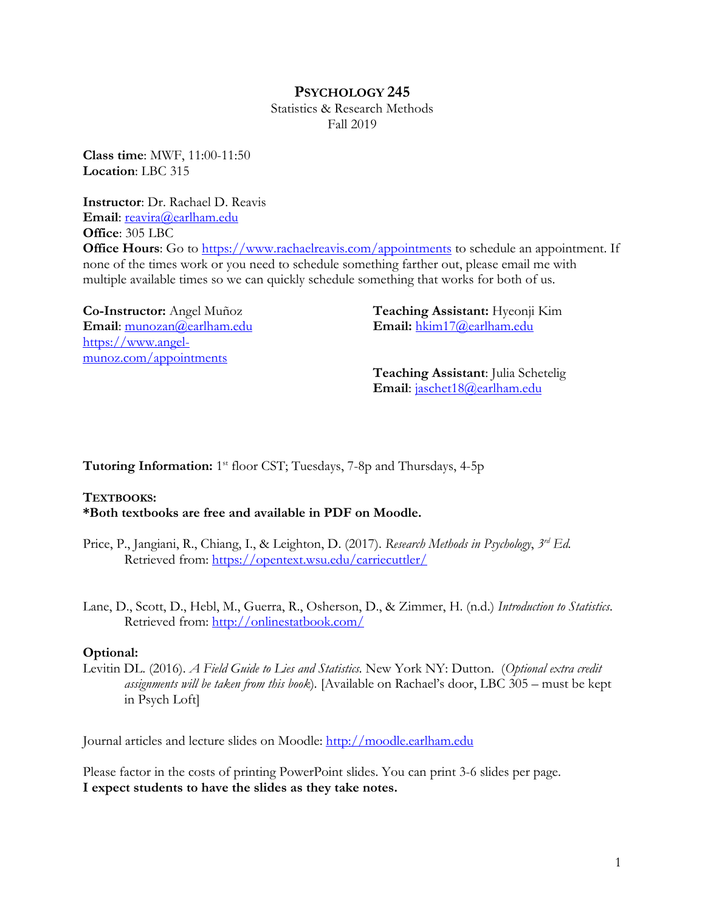# **PSYCHOLOGY 245**

Statistics & Research Methods Fall 2019

**Class time**: MWF, 11:00-11:50 **Location**: LBC 315

**Instructor**: Dr. Rachael D. Reavis Email: reavira@earlham.edu **Office**: 305 LBC **Office Hours:** Go to https://www.rachaelreavis.com/appointments to schedule an appointment. If none of the times work or you need to schedule something farther out, please email me with multiple available times so we can quickly schedule something that works for both of us.

**Co-Instructor:** Angel Muñoz **Email**: munozan@earlham.edu https://www.angelmunoz.com/appointments

**Teaching Assistant:** Hyeonji Kim **Email:** hkim17@earlham.edu

**Teaching Assistant**: Julia Schetelig **Email**: jaschet18@earlham.edu

**Tutoring Information:** 1<sup>st</sup> floor CST; Tuesdays, 7-8p and Thursdays, 4-5p

### **TEXTBOOKS:**

**\*Both textbooks are free and available in PDF on Moodle.**

- Price, P., Jangiani, R., Chiang, I., & Leighton, D. (2017). *Research Methods in Psychology*, *3rd Ed.* Retrieved from: https://opentext.wsu.edu/carriecuttler/
- Lane, D., Scott, D., Hebl, M., Guerra, R., Osherson, D., & Zimmer, H. (n.d.) *Introduction to Statistics*. Retrieved from: http://onlinestatbook.com/

#### **Optional:**

Levitin DL. (2016). *A Field Guide to Lies and Statistics.* New York NY: Dutton. (*Optional extra credit assignments will be taken from this book*)*.* [Available on Rachael's door, LBC 305 – must be kept in Psych Loft]

Journal articles and lecture slides on Moodle: http://moodle.earlham.edu

Please factor in the costs of printing PowerPoint slides. You can print 3-6 slides per page. **I expect students to have the slides as they take notes.**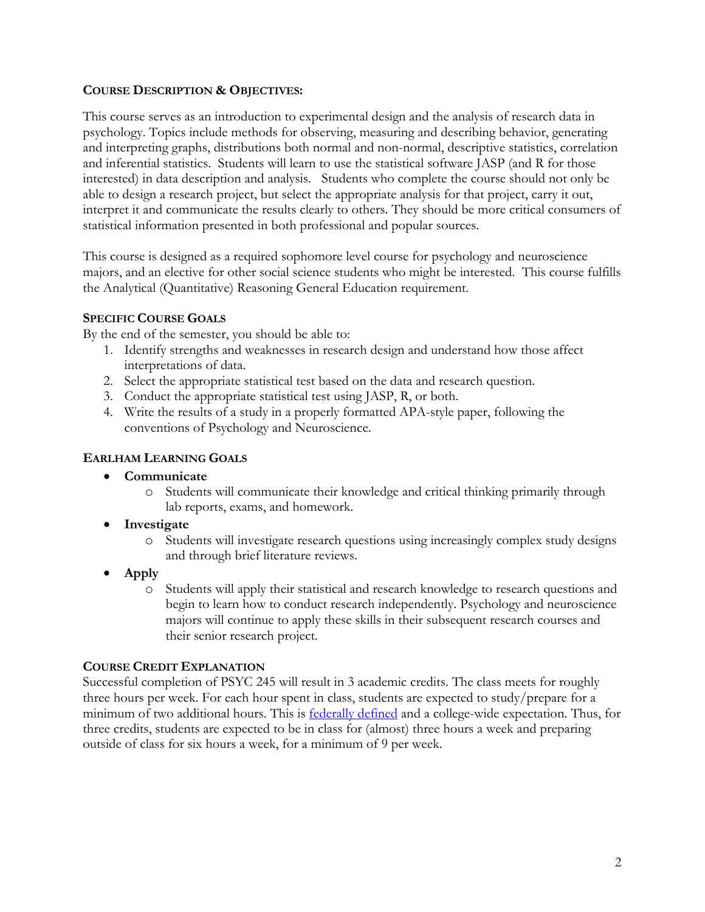### **COURSE DESCRIPTION & OBJECTIVES:**

This course serves as an introduction to experimental design and the analysis of research data in psychology. Topics include methods for observing, measuring and describing behavior, generating and interpreting graphs, distributions both normal and non-normal, descriptive statistics, correlation and inferential statistics. Students will learn to use the statistical software JASP (and R for those interested) in data description and analysis. Students who complete the course should not only be able to design a research project, but select the appropriate analysis for that project, carry it out, interpret it and communicate the results clearly to others. They should be more critical consumers of statistical information presented in both professional and popular sources.

This course is designed as a required sophomore level course for psychology and neuroscience majors, and an elective for other social science students who might be interested. This course fulfills the Analytical (Quantitative) Reasoning General Education requirement.

### **SPECIFIC COURSE GOALS**

By the end of the semester, you should be able to:

- 1. Identify strengths and weaknesses in research design and understand how those affect interpretations of data.
- 2. Select the appropriate statistical test based on the data and research question.
- 3. Conduct the appropriate statistical test using JASP, R, or both.
- 4. Write the results of a study in a properly formatted APA-style paper, following the conventions of Psychology and Neuroscience.

# **EARLHAM LEARNING GOALS**

- **Communicate**
	- o Students will communicate their knowledge and critical thinking primarily through lab reports, exams, and homework.
- **Investigate**
	- o Students will investigate research questions using increasingly complex study designs and through brief literature reviews.
- **Apply**
	- o Students will apply their statistical and research knowledge to research questions and begin to learn how to conduct research independently. Psychology and neuroscience majors will continue to apply these skills in their subsequent research courses and their senior research project.

### **COURSE CREDIT EXPLANATION**

Successful completion of PSYC 245 will result in 3 academic credits. The class meets for roughly three hours per week. For each hour spent in class, students are expected to study/prepare for a minimum of two additional hours. This is **federally defined** and a college-wide expectation. Thus, for three credits, students are expected to be in class for (almost) three hours a week and preparing outside of class for six hours a week, for a minimum of 9 per week.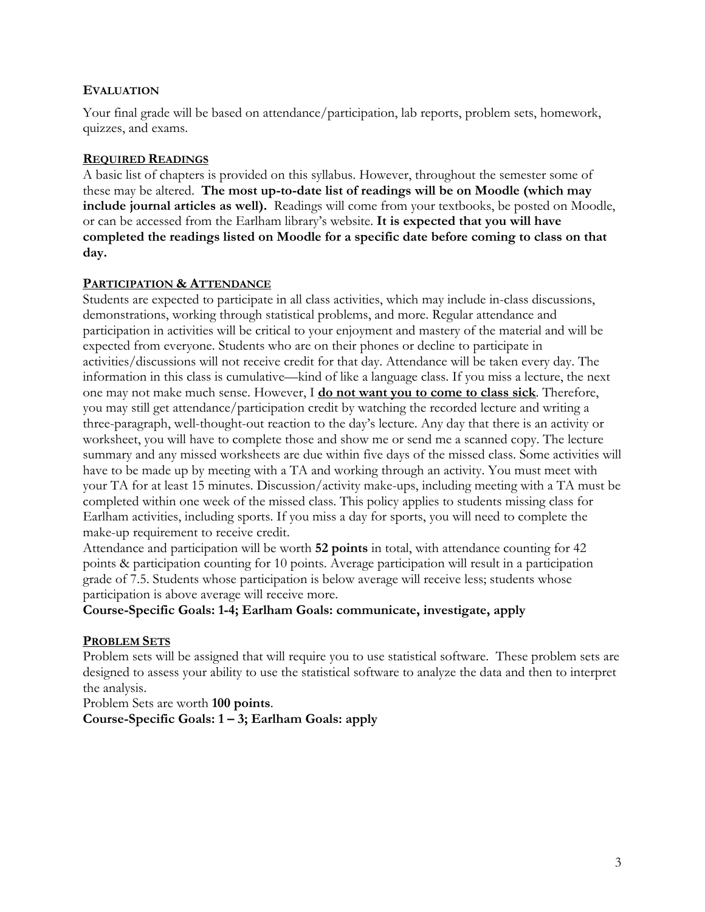#### **EVALUATION**

Your final grade will be based on attendance/participation, lab reports, problem sets, homework, quizzes, and exams.

#### **REQUIRED READINGS**

A basic list of chapters is provided on this syllabus. However, throughout the semester some of these may be altered. **The most up-to-date list of readings will be on Moodle (which may include journal articles as well).** Readings will come from your textbooks, be posted on Moodle, or can be accessed from the Earlham library's website. **It is expected that you will have completed the readings listed on Moodle for a specific date before coming to class on that day.**

#### **PARTICIPATION & ATTENDANCE**

Students are expected to participate in all class activities, which may include in-class discussions, demonstrations, working through statistical problems, and more. Regular attendance and participation in activities will be critical to your enjoyment and mastery of the material and will be expected from everyone. Students who are on their phones or decline to participate in activities/discussions will not receive credit for that day. Attendance will be taken every day. The information in this class is cumulative—kind of like a language class. If you miss a lecture, the next one may not make much sense. However, I **do not want you to come to class sick**. Therefore, you may still get attendance/participation credit by watching the recorded lecture and writing a three-paragraph, well-thought-out reaction to the day's lecture. Any day that there is an activity or worksheet, you will have to complete those and show me or send me a scanned copy. The lecture summary and any missed worksheets are due within five days of the missed class. Some activities will have to be made up by meeting with a TA and working through an activity. You must meet with your TA for at least 15 minutes. Discussion/activity make-ups, including meeting with a TA must be completed within one week of the missed class. This policy applies to students missing class for Earlham activities, including sports. If you miss a day for sports, you will need to complete the make-up requirement to receive credit.

Attendance and participation will be worth **52 points** in total, with attendance counting for 42 points & participation counting for 10 points. Average participation will result in a participation grade of 7.5. Students whose participation is below average will receive less; students whose participation is above average will receive more.

**Course-Specific Goals: 1-4; Earlham Goals: communicate, investigate, apply**

### **PROBLEM SETS**

Problem sets will be assigned that will require you to use statistical software. These problem sets are designed to assess your ability to use the statistical software to analyze the data and then to interpret the analysis.

Problem Sets are worth **100 points**.

**Course-Specific Goals: 1 – 3; Earlham Goals: apply**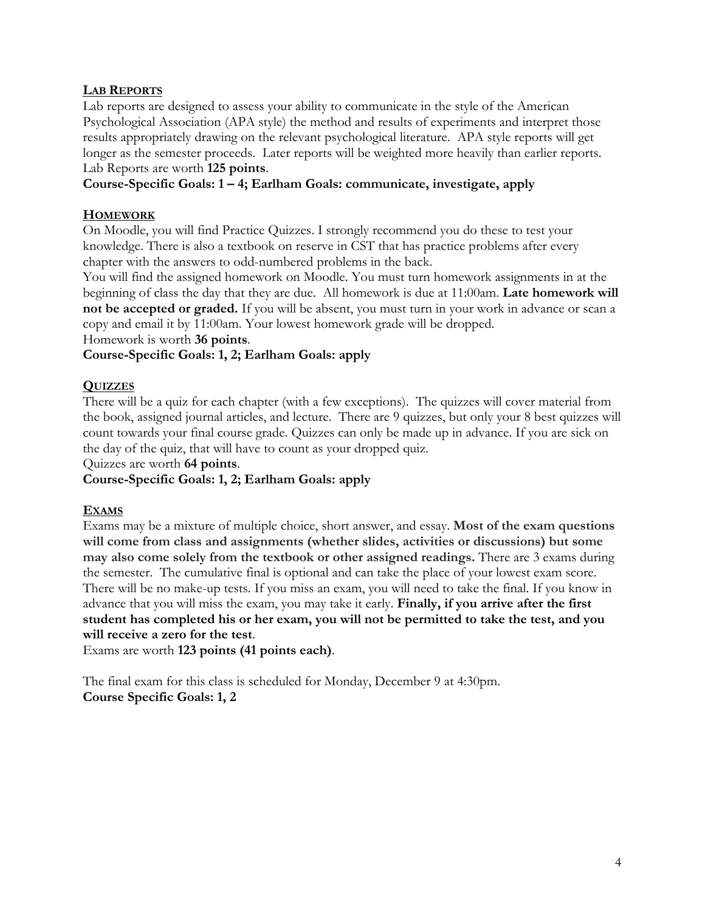# **LAB REPORTS**

Lab reports are designed to assess your ability to communicate in the style of the American Psychological Association (APA style) the method and results of experiments and interpret those results appropriately drawing on the relevant psychological literature. APA style reports will get longer as the semester proceeds. Later reports will be weighted more heavily than earlier reports. Lab Reports are worth **125 points**.

## **Course-Specific Goals: 1 – 4; Earlham Goals: communicate, investigate, apply**

## **HOMEWORK**

On Moodle, you will find Practice Quizzes. I strongly recommend you do these to test your knowledge. There is also a textbook on reserve in CST that has practice problems after every chapter with the answers to odd-numbered problems in the back.

You will find the assigned homework on Moodle. You must turn homework assignments in at the beginning of class the day that they are due. All homework is due at 11:00am. **Late homework will not be accepted or graded.** If you will be absent, you must turn in your work in advance or scan a copy and email it by 11:00am. Your lowest homework grade will be dropped.

Homework is worth **36 points**.

# **Course-Specific Goals: 1, 2; Earlham Goals: apply**

### **QUIZZES**

There will be a quiz for each chapter (with a few exceptions). The quizzes will cover material from the book, assigned journal articles, and lecture. There are 9 quizzes, but only your 8 best quizzes will count towards your final course grade. Quizzes can only be made up in advance. If you are sick on the day of the quiz, that will have to count as your dropped quiz.

Quizzes are worth **64 points**.

### **Course-Specific Goals: 1, 2; Earlham Goals: apply**

### **EXAMS**

Exams may be a mixture of multiple choice, short answer, and essay. **Most of the exam questions will come from class and assignments (whether slides, activities or discussions) but some may also come solely from the textbook or other assigned readings.** There are 3 exams during the semester. The cumulative final is optional and can take the place of your lowest exam score. There will be no make-up tests. If you miss an exam, you will need to take the final. If you know in advance that you will miss the exam, you may take it early. **Finally, if you arrive after the first student has completed his or her exam, you will not be permitted to take the test, and you will receive a zero for the test**.

Exams are worth **123 points (41 points each)**.

The final exam for this class is scheduled for Monday, December 9 at 4:30pm. **Course Specific Goals: 1, 2**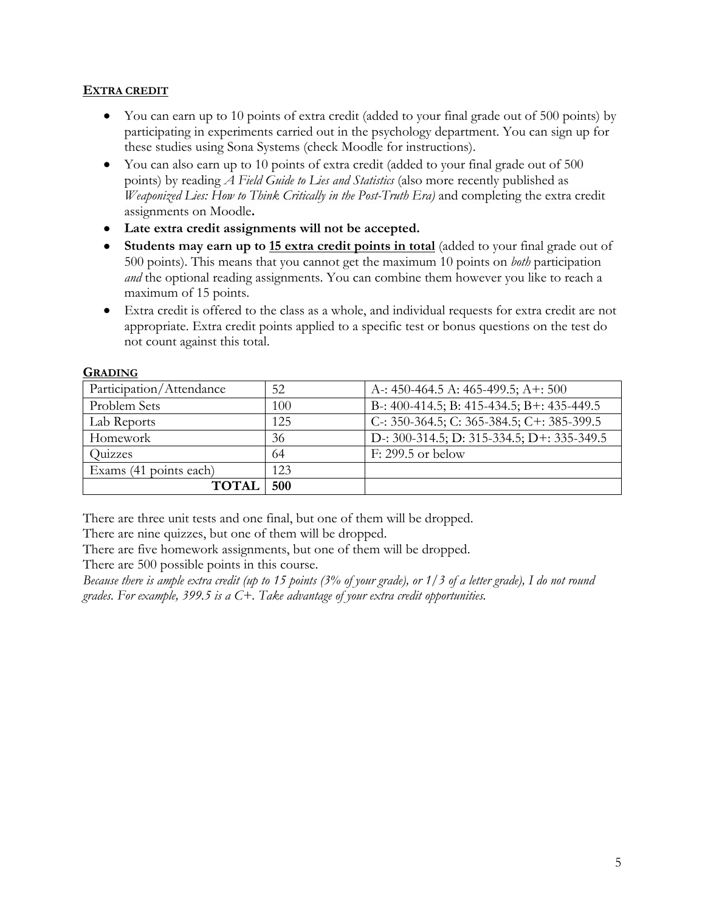### **EXTRA CREDIT**

- You can earn up to 10 points of extra credit (added to your final grade out of 500 points) by participating in experiments carried out in the psychology department. You can sign up for these studies using Sona Systems (check Moodle for instructions).
- You can also earn up to 10 points of extra credit (added to your final grade out of 500 points) by reading *A Field Guide to Lies and Statistics* (also more recently published as *Weaponized Lies: How to Think Critically in the Post-Truth Era)* and completing the extra credit assignments on Moodle**.**
- **Late extra credit assignments will not be accepted.**
- **Students may earn up to 15 extra credit points in total** (added to your final grade out of 500 points). This means that you cannot get the maximum 10 points on *both* participation *and* the optional reading assignments. You can combine them however you like to reach a maximum of 15 points.
- Extra credit is offered to the class as a whole, and individual requests for extra credit are not appropriate. Extra credit points applied to a specific test or bonus questions on the test do not count against this total.

| Participation/Attendance | 52  | A -: 450-464.5 A: 465-499.5; A +: 500        |
|--------------------------|-----|----------------------------------------------|
| Problem Sets             | 100 | B-: 400-414.5; B: 415-434.5; B+: 435-449.5   |
| Lab Reports              | 125 | C: 350-364.5; C: 365-384.5; C+: 385-399.5    |
| Homework                 | 36  | D -: 300-314.5; D: 315-334.5; D +: 335-349.5 |
| Quizzes                  | 64  | $F: 299.5$ or below                          |
| Exams (41 points each)   | 123 |                                              |
| <b>TOTAI</b>             | 500 |                                              |

#### **GRADING**

There are three unit tests and one final, but one of them will be dropped.

There are nine quizzes, but one of them will be dropped.

There are five homework assignments, but one of them will be dropped.

There are 500 possible points in this course.

*Because there is ample extra credit (up to 15 points (3% of your grade), or 1/3 of a letter grade), I do not round grades. For example, 399.5 is a C+. Take advantage of your extra credit opportunities.*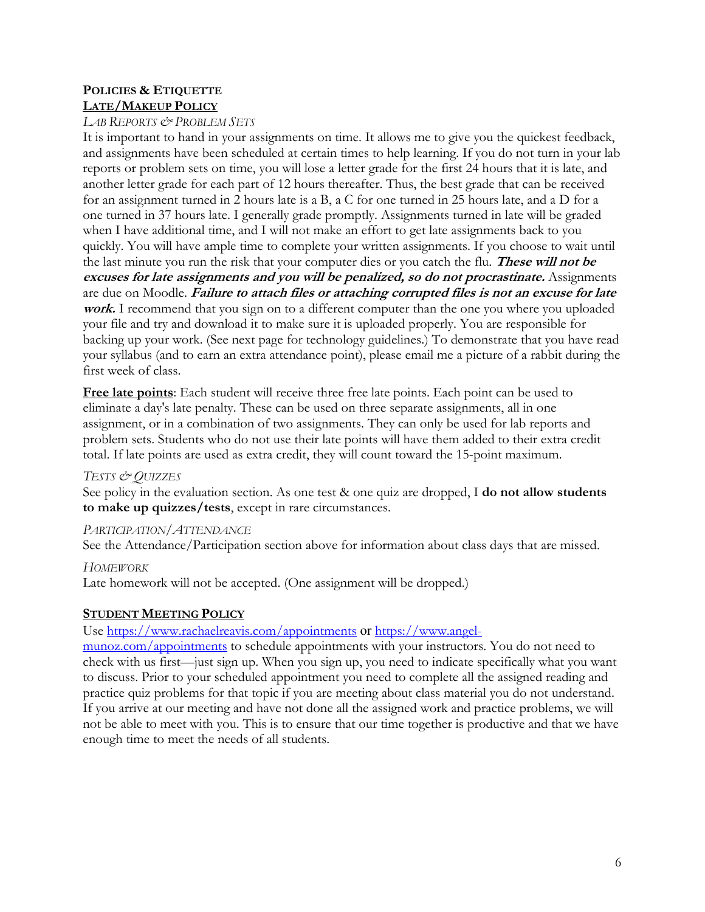## **POLICIES & ETIQUETTE LATE/MAKEUP POLICY**

#### *LAB REPORTS & PROBLEM SETS*

It is important to hand in your assignments on time. It allows me to give you the quickest feedback, and assignments have been scheduled at certain times to help learning. If you do not turn in your lab reports or problem sets on time, you will lose a letter grade for the first 24 hours that it is late, and another letter grade for each part of 12 hours thereafter. Thus, the best grade that can be received for an assignment turned in 2 hours late is a B, a C for one turned in 25 hours late, and a D for a one turned in 37 hours late. I generally grade promptly. Assignments turned in late will be graded when I have additional time, and I will not make an effort to get late assignments back to you quickly. You will have ample time to complete your written assignments. If you choose to wait until the last minute you run the risk that your computer dies or you catch the flu. **These will not be excuses for late assignments and you will be penalized, so do not procrastinate.** Assignments are due on Moodle. **Failure to attach files or attaching corrupted files is not an excuse for late work.** I recommend that you sign on to a different computer than the one you where you uploaded your file and try and download it to make sure it is uploaded properly. You are responsible for backing up your work. (See next page for technology guidelines.) To demonstrate that you have read your syllabus (and to earn an extra attendance point), please email me a picture of a rabbit during the first week of class.

**Free late points**: Each student will receive three free late points. Each point can be used to eliminate a day's late penalty. These can be used on three separate assignments, all in one assignment, or in a combination of two assignments. They can only be used for lab reports and problem sets. Students who do not use their late points will have them added to their extra credit total. If late points are used as extra credit, they will count toward the 15-point maximum.

### *TESTS & QUIZZES*

See policy in the evaluation section. As one test & one quiz are dropped, I **do not allow students to make up quizzes/tests**, except in rare circumstances.

# *PARTICIPATION/ATTENDANCE*

See the Attendance/Participation section above for information about class days that are missed.

*HOMEWORK*

Late homework will not be accepted. (One assignment will be dropped.)

# **STUDENT MEETING POLICY**

### Use https://www.rachaelreavis.com/appointments or https://www.angel-

munoz.com/appointments to schedule appointments with your instructors. You do not need to check with us first—just sign up. When you sign up, you need to indicate specifically what you want to discuss. Prior to your scheduled appointment you need to complete all the assigned reading and practice quiz problems for that topic if you are meeting about class material you do not understand. If you arrive at our meeting and have not done all the assigned work and practice problems, we will not be able to meet with you. This is to ensure that our time together is productive and that we have enough time to meet the needs of all students.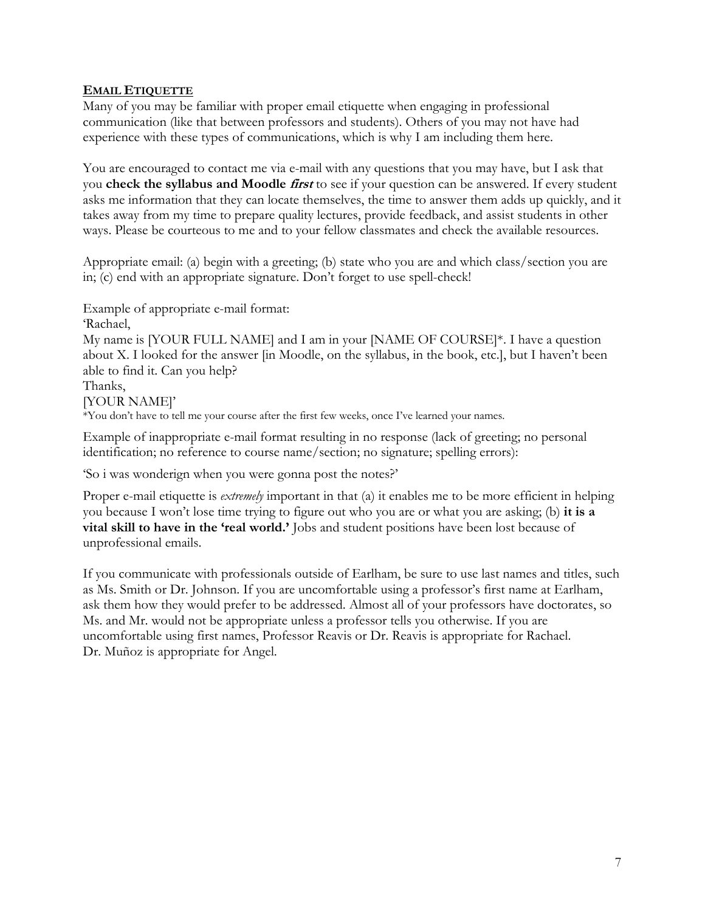## **EMAIL ETIQUETTE**

Many of you may be familiar with proper email etiquette when engaging in professional communication (like that between professors and students). Others of you may not have had experience with these types of communications, which is why I am including them here.

You are encouraged to contact me via e-mail with any questions that you may have, but I ask that you **check the syllabus and Moodle first** to see if your question can be answered. If every student asks me information that they can locate themselves, the time to answer them adds up quickly, and it takes away from my time to prepare quality lectures, provide feedback, and assist students in other ways. Please be courteous to me and to your fellow classmates and check the available resources.

Appropriate email: (a) begin with a greeting; (b) state who you are and which class/section you are in; (c) end with an appropriate signature. Don't forget to use spell-check!

Example of appropriate e-mail format:

'Rachael,

My name is [YOUR FULL NAME] and I am in your [NAME OF COURSE]\*. I have a question about X. I looked for the answer [in Moodle, on the syllabus, in the book, etc.], but I haven't been able to find it. Can you help?

Thanks,

[YOUR NAME]'

\*You don't have to tell me your course after the first few weeks, once I've learned your names.

Example of inappropriate e-mail format resulting in no response (lack of greeting; no personal identification; no reference to course name/section; no signature; spelling errors):

'So i was wonderign when you were gonna post the notes?'

Proper e-mail etiquette is *extremely* important in that (a) it enables me to be more efficient in helping you because I won't lose time trying to figure out who you are or what you are asking; (b) **it is a vital skill to have in the 'real world.'** Jobs and student positions have been lost because of unprofessional emails.

If you communicate with professionals outside of Earlham, be sure to use last names and titles, such as Ms. Smith or Dr. Johnson. If you are uncomfortable using a professor's first name at Earlham, ask them how they would prefer to be addressed. Almost all of your professors have doctorates, so Ms. and Mr. would not be appropriate unless a professor tells you otherwise. If you are uncomfortable using first names, Professor Reavis or Dr. Reavis is appropriate for Rachael. Dr. Muñoz is appropriate for Angel.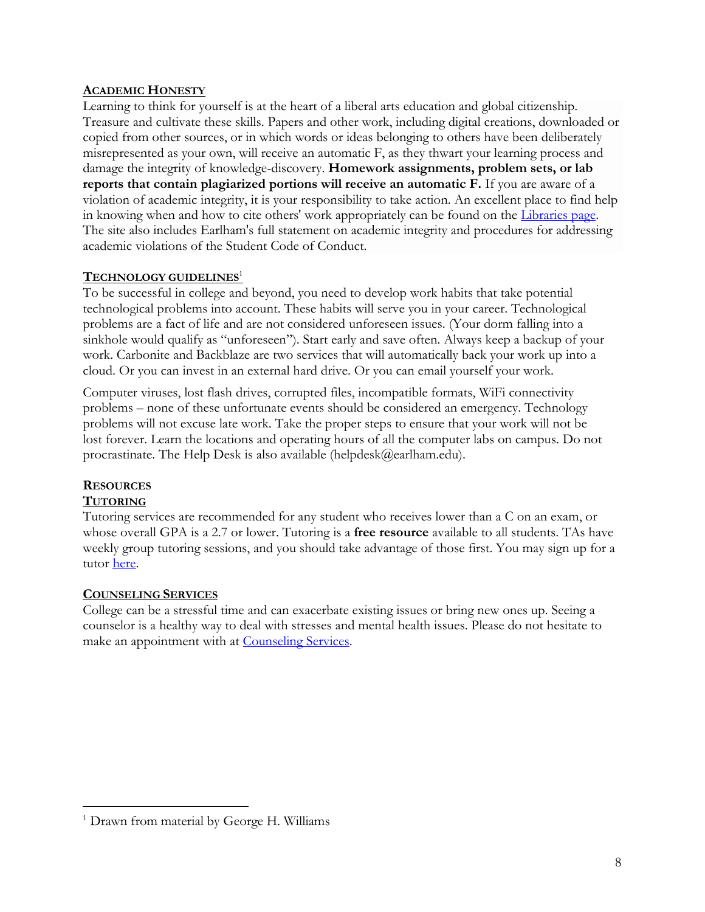### **ACADEMIC HONESTY**

Learning to think for yourself is at the heart of a liberal arts education and global citizenship. Treasure and cultivate these skills. Papers and other work, including digital creations, downloaded or copied from other sources, or in which words or ideas belonging to others have been deliberately misrepresented as your own, will receive an automatic F, as they thwart your learning process and damage the integrity of knowledge-discovery. **Homework assignments, problem sets, or lab reports that contain plagiarized portions will receive an automatic F.** If you are aware of a violation of academic integrity, it is your responsibility to take action. An excellent place to find help in knowing when and how to cite others' work appropriately can be found on the Libraries page. The site also includes Earlham's full statement on academic integrity and procedures for addressing academic violations of the Student Code of Conduct.

#### **TECHNOLOGY GUIDELINES**<sup>1</sup>

To be successful in college and beyond, you need to develop work habits that take potential technological problems into account. These habits will serve you in your career. Technological problems are a fact of life and are not considered unforeseen issues. (Your dorm falling into a sinkhole would qualify as "unforeseen"). Start early and save often. Always keep a backup of your work. Carbonite and Backblaze are two services that will automatically back your work up into a cloud. Or you can invest in an external hard drive. Or you can email yourself your work.

Computer viruses, lost flash drives, corrupted files, incompatible formats, WiFi connectivity problems – none of these unfortunate events should be considered an emergency. Technology problems will not excuse late work. Take the proper steps to ensure that your work will not be lost forever. Learn the locations and operating hours of all the computer labs on campus. Do not procrastinate. The Help Desk is also available (helpdesk@earlham.edu).

### **RESOURCES TUTORING**

Tutoring services are recommended for any student who receives lower than a C on an exam, or whose overall GPA is a 2.7 or lower. Tutoring is a **free resource** available to all students. TAs have weekly group tutoring sessions, and you should take advantage of those first. You may sign up for a tutor here.

### **COUNSELING SERVICES**

College can be a stressful time and can exacerbate existing issues or bring new ones up. Seeing a counselor is a healthy way to deal with stresses and mental health issues. Please do not hesitate to make an appointment with at Counseling Services.

<sup>&</sup>lt;sup>1</sup> Drawn from material by George H. Williams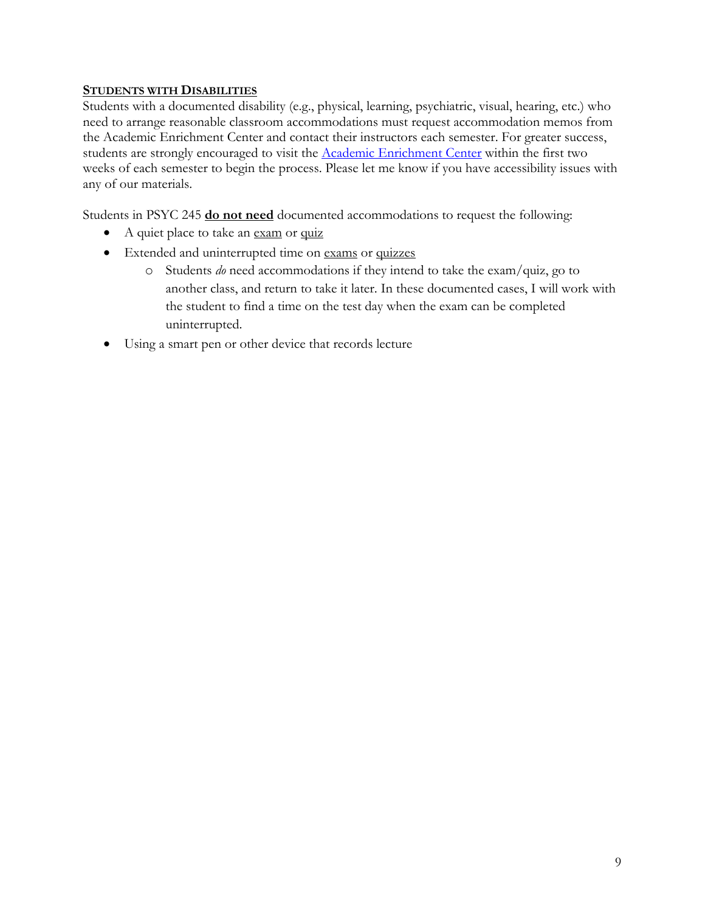### **STUDENTS WITH DISABILITIES**

Students with a documented disability (e.g., physical, learning, psychiatric, visual, hearing, etc.) who need to arrange reasonable classroom accommodations must request accommodation memos from the Academic Enrichment Center and contact their instructors each semester. For greater success, students are strongly encouraged to visit the Academic Enrichment Center within the first two weeks of each semester to begin the process. Please let me know if you have accessibility issues with any of our materials.

Students in PSYC 245 **do not need** documented accommodations to request the following:

- A quiet place to take an exam or quiz
- Extended and uninterrupted time on exams or quizzes
	- o Students *do* need accommodations if they intend to take the exam/quiz, go to another class, and return to take it later. In these documented cases, I will work with the student to find a time on the test day when the exam can be completed uninterrupted.
- Using a smart pen or other device that records lecture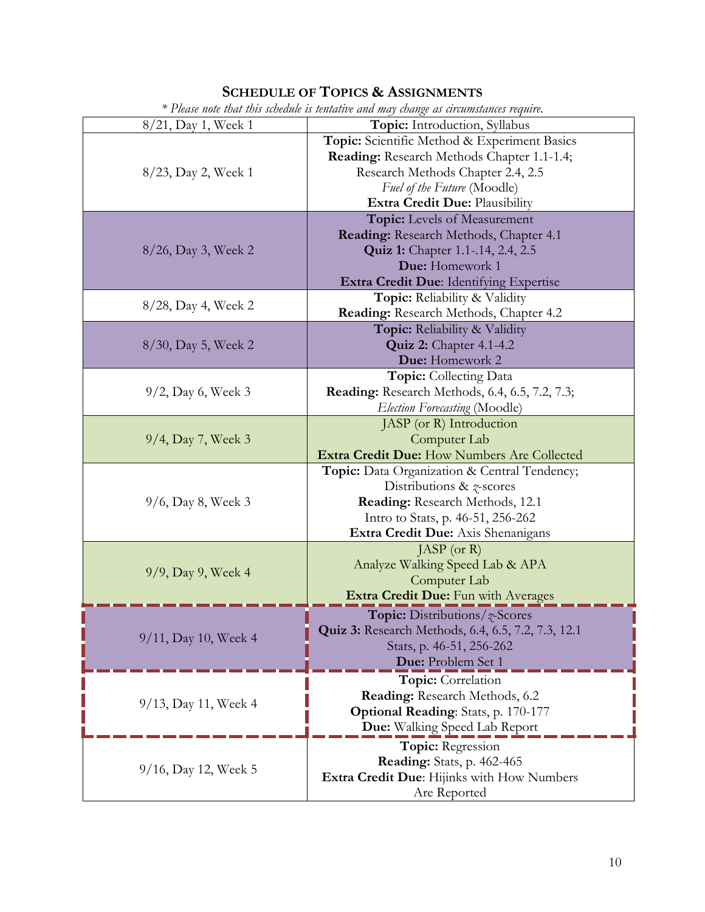# **SCHEDULE OF TOPICS & ASSIGNMENTS**

| * Please note that this schedule is tentative and may change as circumstances require. |                                                           |  |
|----------------------------------------------------------------------------------------|-----------------------------------------------------------|--|
| 8/21, Day 1, Week 1                                                                    | Topic: Introduction, Syllabus                             |  |
| 8/23, Day 2, Week 1                                                                    | Topic: Scientific Method & Experiment Basics              |  |
|                                                                                        | Reading: Research Methods Chapter 1.1-1.4;                |  |
|                                                                                        | Research Methods Chapter 2.4, 2.5                         |  |
|                                                                                        | Fuel of the Future (Moodle)                               |  |
|                                                                                        | Extra Credit Due: Plausibility                            |  |
|                                                                                        | Topic: Levels of Measurement                              |  |
|                                                                                        | Reading: Research Methods, Chapter 4.1                    |  |
| 8/26, Day 3, Week 2                                                                    | <b>Quiz 1:</b> Chapter 1.1-.14, 2.4, 2.5                  |  |
|                                                                                        | Due: Homework 1                                           |  |
|                                                                                        | Extra Credit Due: Identifying Expertise                   |  |
|                                                                                        | Topic: Reliability & Validity                             |  |
| 8/28, Day 4, Week 2                                                                    | Reading: Research Methods, Chapter 4.2                    |  |
|                                                                                        | Topic: Reliability & Validity                             |  |
| 8/30, Day 5, Week 2                                                                    | <b>Quiz 2:</b> Chapter 4.1-4.2                            |  |
|                                                                                        | Due: Homework 2                                           |  |
|                                                                                        | <b>Topic:</b> Collecting Data                             |  |
| $9/2$ , Day 6, Week 3                                                                  | <b>Reading:</b> Research Methods, 6.4, 6.5, 7.2, 7.3;     |  |
|                                                                                        | Election Forecasting (Moodle)                             |  |
|                                                                                        | JASP (or R) Introduction                                  |  |
| 9/4, Day 7, Week 3                                                                     | Computer Lab                                              |  |
|                                                                                        | Extra Credit Due: How Numbers Are Collected               |  |
|                                                                                        | Topic: Data Organization & Central Tendency;              |  |
|                                                                                        | Distributions & $\gamma$ -scores                          |  |
| $9/6$ , Day 8, Week 3                                                                  | Reading: Research Methods, 12.1                           |  |
|                                                                                        | Intro to Stats, p. 46-51, 256-262                         |  |
|                                                                                        | Extra Credit Due: Axis Shenanigans                        |  |
|                                                                                        | $JASP$ (or R)                                             |  |
| 9/9, Day 9, Week 4                                                                     | Analyze Walking Speed Lab & APA                           |  |
|                                                                                        | Computer Lab                                              |  |
|                                                                                        | Extra Credit Due: Fun with Averages                       |  |
|                                                                                        | <b>Topic:</b> Distributions/ <i>z</i> -Scores             |  |
| 9/11, Day 10, Week 4                                                                   | <b>Quiz 3:</b> Research Methods, 6.4, 6.5, 7.2, 7.3, 12.1 |  |
|                                                                                        | Stats, p. 46-51, 256-262                                  |  |
|                                                                                        | Due: Problem Set 1                                        |  |
|                                                                                        | Topic: Correlation                                        |  |
| 9/13, Day 11, Week 4                                                                   | Reading: Research Methods, 6.2                            |  |
|                                                                                        | <b>Optional Reading:</b> Stats, p. 170-177                |  |
|                                                                                        | Due: Walking Speed Lab Report                             |  |
| 9/16, Day 12, Week 5                                                                   | Topic: Regression                                         |  |
|                                                                                        | <b>Reading:</b> Stats, p. 462-465                         |  |
|                                                                                        | Extra Credit Due: Hijinks with How Numbers                |  |
|                                                                                        | Are Reported                                              |  |

Ń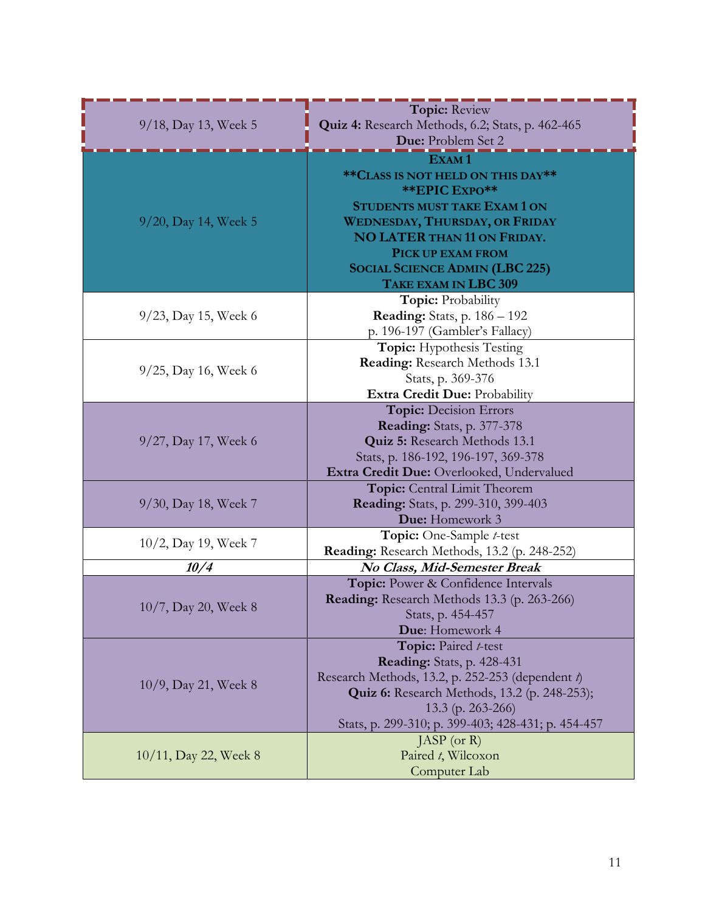| 9/18, Day 13, Week 5    | <b>Topic: Review</b>                                |
|-------------------------|-----------------------------------------------------|
|                         | Quiz 4: Research Methods, 6.2; Stats, p. 462-465    |
|                         | Due: Problem Set 2                                  |
|                         |                                                     |
|                         | ** CLASS IS NOT HELD ON THIS DAY**                  |
|                         | <b>**EPIC EXPO**</b>                                |
|                         | <b>STUDENTS MUST TAKE EXAM 1 ON</b>                 |
|                         | <b>WEDNESDAY, THURSDAY, OR FRIDAY</b>               |
| $9/20$ , Day 14, Week 5 | <b>NO LATER THAN 11 ON FRIDAY.</b>                  |
|                         | PICK UP EXAM FROM                                   |
|                         |                                                     |
|                         | <b>SOCIAL SCIENCE ADMIN (LBC 225)</b>               |
|                         | TAKE EXAM IN LBC 309                                |
|                         | <b>Topic: Probability</b>                           |
| $9/23$ , Day 15, Week 6 | <b>Reading:</b> Stats, p. $186 - 192$               |
|                         | p. 196-197 (Gambler's Fallacy)                      |
|                         | <b>Topic:</b> Hypothesis Testing                    |
| $9/25$ , Day 16, Week 6 | Reading: Research Methods 13.1                      |
|                         | Stats, p. 369-376                                   |
|                         | Extra Credit Due: Probability                       |
|                         | <b>Topic: Decision Errors</b>                       |
|                         | <b>Reading:</b> Stats, p. 377-378                   |
| 9/27, Day 17, Week 6    | Quiz 5: Research Methods 13.1                       |
|                         | Stats, p. 186-192, 196-197, 369-378                 |
|                         | Extra Credit Due: Overlooked, Undervalued           |
|                         | Topic: Central Limit Theorem                        |
| 9/30, Day 18, Week 7    | Reading: Stats, p. 299-310, 399-403                 |
|                         | Due: Homework 3                                     |
| 10/2, Day 19, Week 7    | Topic: One-Sample t-test                            |
|                         | Reading: Research Methods, 13.2 (p. 248-252)        |
| 10/4                    | No Class, Mid-Semester Break                        |
|                         | Topic: Power & Confidence Intervals                 |
| 10/7, Day 20, Week 8    | Reading: Research Methods 13.3 (p. 263-266)         |
|                         | Stats, p. 454-457                                   |
|                         | Due: Homework 4                                     |
|                         | Topic: Paired t-test                                |
|                         | Reading: Stats, p. 428-431                          |
| 10/9, Day 21, Week 8    | Research Methods, 13.2, p. 252-253 (dependent t)    |
|                         | <b>Quiz 6:</b> Research Methods, 13.2 (p. 248-253); |
|                         | 13.3 (p. 263-266)                                   |
|                         | Stats, p. 299-310; p. 399-403; 428-431; p. 454-457  |
| 10/11, Day 22, Week 8   | JASP (or $R$ )                                      |
|                         | Paired t, Wilcoxon                                  |
|                         | Computer Lab                                        |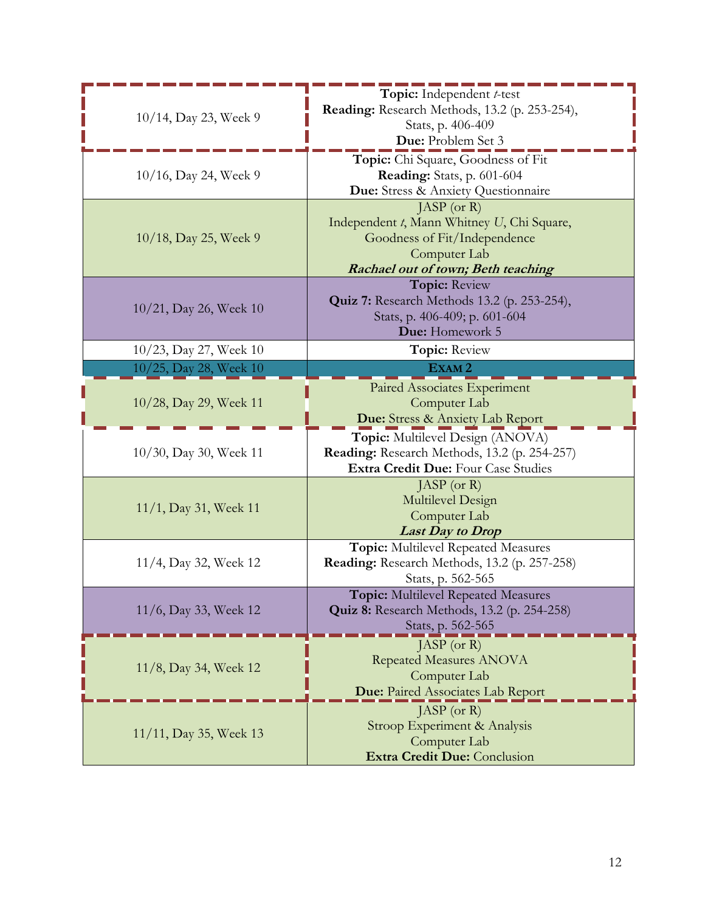| 10/14, Day 23, Week 9  | Topic: Independent t-test<br>Reading: Research Methods, 13.2 (p. 253-254),<br>Stats, p. 406-409 |
|------------------------|-------------------------------------------------------------------------------------------------|
|                        | Due: Problem Set 3                                                                              |
| 10/16, Day 24, Week 9  | Topic: Chi Square, Goodness of Fit                                                              |
|                        | <b>Reading:</b> Stats, p. 601-604                                                               |
|                        | Due: Stress & Anxiety Questionnaire                                                             |
|                        | [ASP (or R)]<br>Independent t, Mann Whitney U, Chi Square,                                      |
| 10/18, Day 25, Week 9  | Goodness of Fit/Independence                                                                    |
|                        | Computer Lab                                                                                    |
|                        | <b>Rachael out of town; Beth teaching</b>                                                       |
|                        | <b>Topic: Review</b>                                                                            |
|                        | <b>Quiz 7:</b> Research Methods 13.2 (p. 253-254),                                              |
| 10/21, Day 26, Week 10 | Stats, p. 406-409; p. 601-604                                                                   |
|                        | Due: Homework 5                                                                                 |
| 10/23, Day 27, Week 10 | Topic: Review                                                                                   |
| 10/25, Day 28, Week 10 | EXAM <sub>2</sub>                                                                               |
|                        | Paired Associates Experiment                                                                    |
| 10/28, Day 29, Week 11 | Computer Lab                                                                                    |
|                        | Due: Stress & Anxiety Lab Report                                                                |
|                        | Topic: Multilevel Design (ANOVA)                                                                |
| 10/30, Day 30, Week 11 | Reading: Research Methods, 13.2 (p. 254-257)                                                    |
|                        | Extra Credit Due: Four Case Studies                                                             |
|                        | JASP (or $R$ )                                                                                  |
| 11/1, Day 31, Week 11  | Multilevel Design                                                                               |
|                        | Computer Lab                                                                                    |
|                        | <b>Last Day to Drop</b><br><b>Topic:</b> Multilevel Repeated Measures                           |
| 11/4, Day 32, Week 12  | Reading: Research Methods, 13.2 (p. 257-258)                                                    |
|                        | Stats, p. 562-565                                                                               |
|                        | <b>Topic:</b> Multilevel Repeated Measures                                                      |
| 11/6, Day 33, Week 12  | <b>Quiz 8:</b> Research Methods, 13.2 (p. 254-258)                                              |
|                        | Stats, p. 562-565                                                                               |
|                        | $JASP$ (or R)                                                                                   |
| 11/8, Day 34, Week 12  | <b>Repeated Measures ANOVA</b>                                                                  |
|                        | Computer Lab                                                                                    |
|                        | <b>Due:</b> Paired Associates Lab Report                                                        |
| 11/11, Day 35, Week 13 | JASP (or $R$ )                                                                                  |
|                        | Stroop Experiment & Analysis                                                                    |
|                        | Computer Lab                                                                                    |
|                        |                                                                                                 |